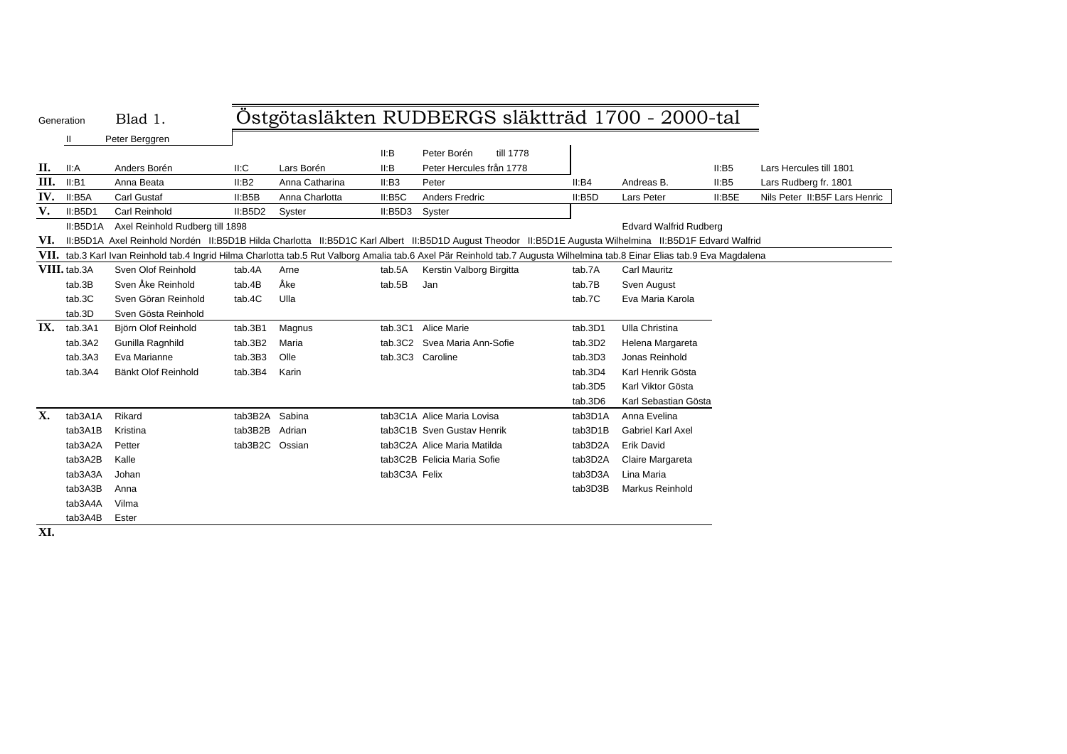| Generation | Blad |
|------------|------|
|            |      |

# Blad 1. Östgötasläkten RUDBERGS släktträd 1700 - 2000-tal

II Peter Berggren

|      |              | i vivi Dorggion                                                                                                                                                       |                |                |               |                              |           |         |                               |        |                               |
|------|--------------|-----------------------------------------------------------------------------------------------------------------------------------------------------------------------|----------------|----------------|---------------|------------------------------|-----------|---------|-------------------------------|--------|-------------------------------|
|      |              |                                                                                                                                                                       |                |                | II:B          | Peter Borén                  | till 1778 |         |                               |        |                               |
| П.   | II: A        | Anders Borén                                                                                                                                                          | II:C           | Lars Borén     | II:B          | Peter Hercules från 1778     |           |         |                               | II:BB5 | Lars Hercules till 1801       |
| III. | II:B1        | Anna Beata                                                                                                                                                            | II:B2          | Anna Catharina | II:B3         | Peter                        |           | II:B4   | Andreas B.                    | II:B5  | Lars Rudberg fr. 1801         |
| IV.  | II:B5A       | <b>Carl Gustaf</b>                                                                                                                                                    | II:BBB         | Anna Charlotta | II: B5C       | <b>Anders Fredric</b>        |           | II:B5D  | Lars Peter                    | II:B5E | Nils Peter II:B5F Lars Henric |
| V.   | II:BBD1      | Carl Reinhold                                                                                                                                                         | II:BBD2        | Syster         | II:BBD3       | Syster                       |           |         |                               |        |                               |
|      | II:B5D1A     | Axel Reinhold Rudberg till 1898                                                                                                                                       |                |                |               |                              |           |         | <b>Edvard Walfrid Rudberg</b> |        |                               |
| VI.  |              | II:B5D1A Axel Reinhold Nordén II:B5D1B Hilda Charlotta II:B5D1C Karl Albert II:B5D1D August Theodor II:B5D1E Augusta Wilhelmina II:B5D1F Edvard Walfrid               |                |                |               |                              |           |         |                               |        |                               |
| VII. |              | tab.3 Karl Ivan Reinhold tab.4 Ingrid Hilma Charlotta tab.5 Rut Valborg Amalia tab.6 Axel Pär Reinhold tab.7 Augusta Wilhelmina tab.8 Einar Elias tab.9 Eva Magdalena |                |                |               |                              |           |         |                               |        |                               |
|      | VIII. tab.3A | Sven Olof Reinhold                                                                                                                                                    | tab.4A         | Arne           | tab.5A        | Kerstin Valborg Birgitta     |           | tab.7A  | <b>Carl Mauritz</b>           |        |                               |
|      | tab.3B       | Sven Åke Reinhold                                                                                                                                                     | tab.4B         | Åke            | tab.5B        | Jan                          |           | tab.7B  | Sven August                   |        |                               |
|      | tab.3C       | Sven Göran Reinhold                                                                                                                                                   | tab.4C         | Ulla           |               |                              |           | tab.7C  | Eva Maria Karola              |        |                               |
|      | tab.3D       | Sven Gösta Reinhold                                                                                                                                                   |                |                |               |                              |           |         |                               |        |                               |
| IX.  | tab.3A1      | Björn Olof Reinhold                                                                                                                                                   | tab.3B1        | Magnus         | tab.3C1       | <b>Alice Marie</b>           |           | tab.3D1 | Ulla Christina                |        |                               |
|      | tab.3A2      | Gunilla Ragnhild                                                                                                                                                      | tab.3B2        | Maria          |               | tab.3C2 Svea Maria Ann-Sofie |           | tab.3D2 | Helena Margareta              |        |                               |
|      | tab.3A3      | Eva Marianne                                                                                                                                                          | tab.3B3        | Olle           |               | tab.3C3 Caroline             |           | tab.3D3 | Jonas Reinhold                |        |                               |
|      | tab.3A4      | Bänkt Olof Reinhold                                                                                                                                                   | tab.3B4        | Karin          |               |                              |           | tab.3D4 | Karl Henrik Gösta             |        |                               |
|      |              |                                                                                                                                                                       |                |                |               |                              |           | tab.3D5 | Karl Viktor Gösta             |        |                               |
|      |              |                                                                                                                                                                       |                |                |               |                              |           | tab.3D6 | Karl Sebastian Gösta          |        |                               |
| X.   | tab3A1A      | Rikard                                                                                                                                                                | tab3B2A Sabina |                |               | tab3C1A Alice Maria Lovisa   |           | tab3D1A | Anna Evelina                  |        |                               |
|      | tab3A1B      | Kristina                                                                                                                                                              | tab3B2B        | Adrian         |               | tab3C1B Sven Gustav Henrik   |           | tab3D1B | <b>Gabriel Karl Axel</b>      |        |                               |
|      | tab3A2A      | Petter                                                                                                                                                                | tab3B2C        | Ossian         |               | tab3C2A Alice Maria Matilda  |           | tab3D2A | Erik David                    |        |                               |
|      | tab3A2B      | Kalle                                                                                                                                                                 |                |                |               | tab3C2B Felicia Maria Sofie  |           | tab3D2A | Claire Margareta              |        |                               |
|      | tab3A3A      | Johan                                                                                                                                                                 |                |                | tab3C3A Felix |                              |           | tab3D3A | Lina Maria                    |        |                               |
|      | tab3A3B      | Anna                                                                                                                                                                  |                |                |               |                              |           | tab3D3B | Markus Reinhold               |        |                               |
|      | tab3A4A      | Vilma                                                                                                                                                                 |                |                |               |                              |           |         |                               |        |                               |
|      | tab3A4B      | Ester                                                                                                                                                                 |                |                |               |                              |           |         |                               |        |                               |

**XI.**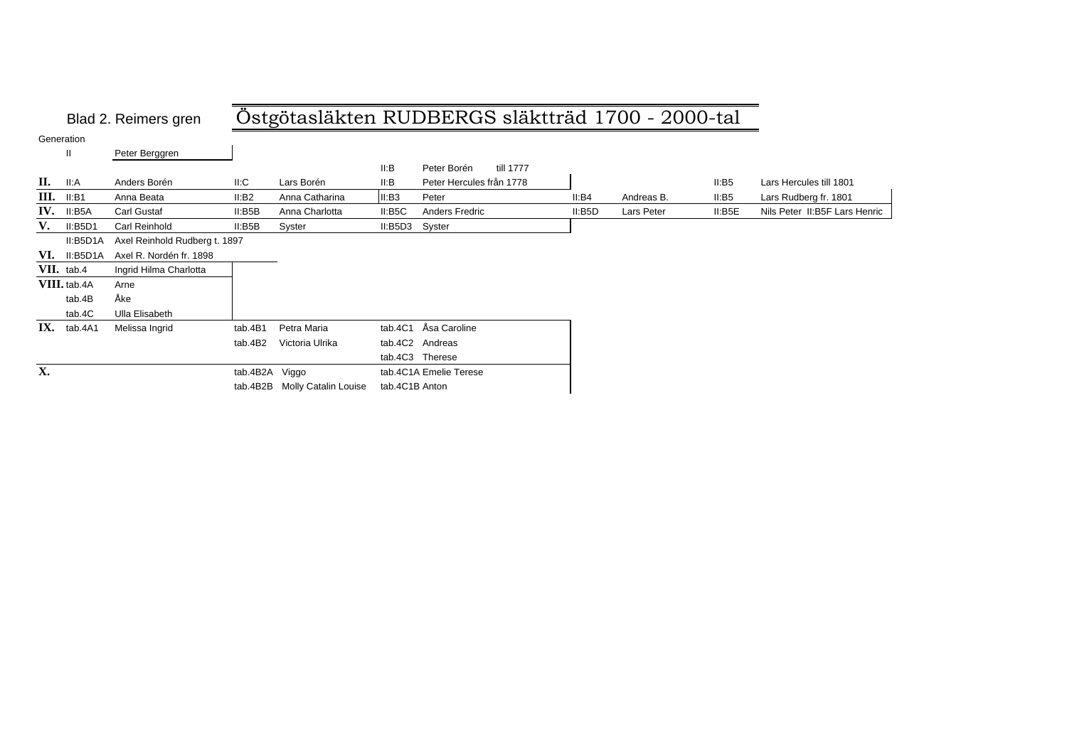## Blad 2. Reimers gren Östgötasläkten RUDBERGS släktträd 1700 - 2000-tal

Generation

II Peter Berggren

|     |              |                               |                |                      | II:B           | Peter Borén<br>till 1777 |        |            |        |                               |
|-----|--------------|-------------------------------|----------------|----------------------|----------------|--------------------------|--------|------------|--------|-------------------------------|
| П.  | II:A         | Anders Borén                  | II:C           | Lars Borén           | II:B           | Peter Hercules från 1778 |        |            | II:BB5 | Lars Hercules till 1801       |
| Ш.  | II:B1        | Anna Beata                    | II:B2          | Anna Catharina       | II:B3          | Peter                    | II:B4  | Andreas B. | II:BB  | Lars Rudberg fr. 1801         |
| IV. | II:B5A       | Carl Gustaf                   | II:BBB         | Anna Charlotta       | II: B5C        | Anders Fredric           | II:B5D | Lars Peter | II:B5E | Nils Peter II:B5F Lars Henric |
| V.  | II:BBD1      | Carl Reinhold                 | II:B5B         | Syster               | II:B5D3 Syster |                          |        |            |        |                               |
|     | II:B5D1A     | Axel Reinhold Rudberg t. 1897 |                |                      |                |                          |        |            |        |                               |
| VI. | II:B5D1A     | Axel R. Nordén fr. 1898       |                |                      |                |                          |        |            |        |                               |
|     | VII. tab.4   | Ingrid Hilma Charlotta        |                |                      |                |                          |        |            |        |                               |
|     | VIII. tab.4A | Arne                          |                |                      |                |                          |        |            |        |                               |
|     | tab.4B       | Åke                           |                |                      |                |                          |        |            |        |                               |
|     | tab.4C       | Ulla Elisabeth                |                |                      |                |                          |        |            |        |                               |
| IX. | tab.4A1      | Melissa Ingrid                | tab.4B1        | Petra Maria          |                | tab.4C1 Åsa Caroline     |        |            |        |                               |
|     |              |                               | tab.4B2        | Victoria Ulrika      |                | tab.4C2 Andreas          |        |            |        |                               |
|     |              |                               |                |                      |                | tab.4C3 Therese          |        |            |        |                               |
| X.  |              |                               | tab.4B2A Viggo |                      |                | tab.4C1A Emelie Terese   |        |            |        |                               |
|     |              |                               | tab.4B2B       | Molly Catalin Louise | tab.4C1B Anton |                          |        |            |        |                               |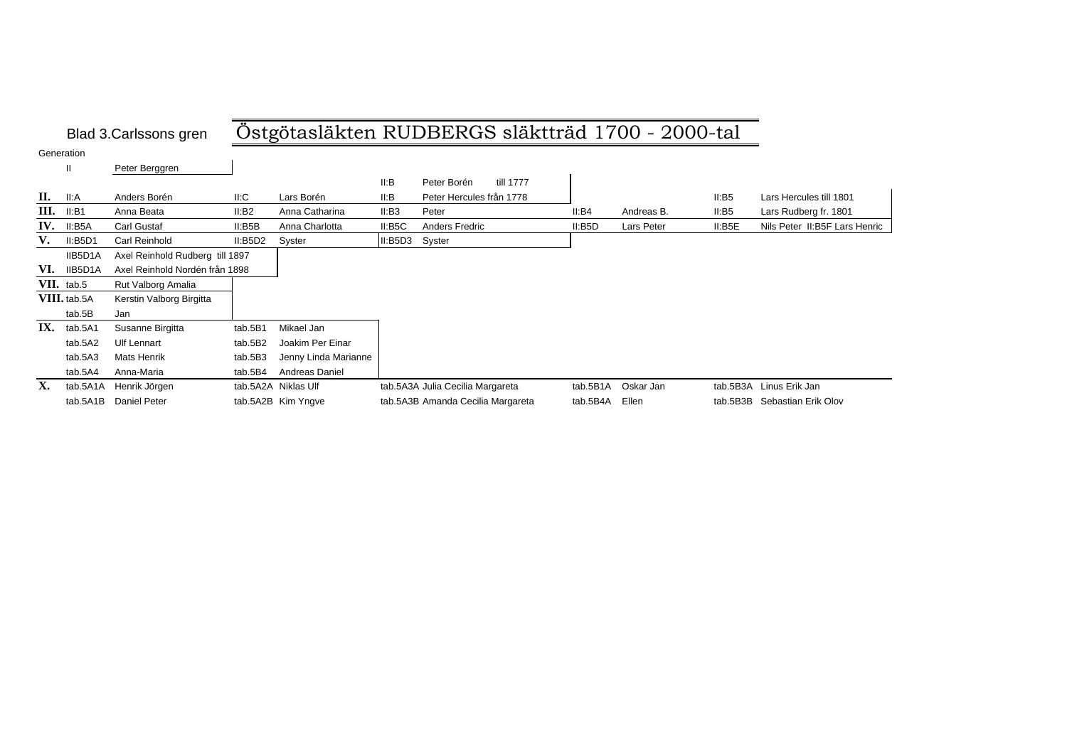# Blad 3.Carlssons gren Östgötasläkten RUDBERGS släktträd 1700 - 2000-tal

Generation

|     | $\mathbf{II}$ | Peter Berggren                  |         |                      |         |                                   |          |            |          |                               |
|-----|---------------|---------------------------------|---------|----------------------|---------|-----------------------------------|----------|------------|----------|-------------------------------|
|     |               |                                 |         |                      | II:B    | till 1777<br>Peter Borén          |          |            |          |                               |
| П.  | II:A          | Anders Borén                    | II:C    | Lars Borén           | ll:B    | Peter Hercules från 1778          |          |            | II: B5   | Lars Hercules till 1801       |
| Ш.  | II:B1         | Anna Beata                      | II:B2   | Anna Catharina       | II:B3   | Peter                             | II:B4    | Andreas B. | II: B5   | Lars Rudberg fr. 1801         |
| IV. | II:B5A        | Carl Gustaf                     | II:B5B  | Anna Charlotta       | II: B5C | Anders Fredric                    | II:BBD   | Lars Peter | II: B5E  | Nils Peter II:B5F Lars Henric |
| V.  | II:B5D1       | Carl Reinhold                   | II:BBD2 | Syster               | II:BBD3 | Syster                            |          |            |          |                               |
|     | IIB5D1A       | Axel Reinhold Rudberg till 1897 |         |                      |         |                                   |          |            |          |                               |
| VI. | IIB5D1A       | Axel Reinhold Nordén från 1898  |         |                      |         |                                   |          |            |          |                               |
|     | VII. tab.5    | Rut Valborg Amalia              |         |                      |         |                                   |          |            |          |                               |
|     | VIII. tab.5A  | Kerstin Valborg Birgitta        |         |                      |         |                                   |          |            |          |                               |
|     | tab.5B        | Jan                             |         |                      |         |                                   |          |            |          |                               |
| IX. | tab.5A1       | Susanne Birgitta                | tab.5B1 | Mikael Jan           |         |                                   |          |            |          |                               |
|     | tab.5A2       | <b>Ulf Lennart</b>              | tab.5B2 | Joakim Per Einar     |         |                                   |          |            |          |                               |
|     | tab.5A3       | Mats Henrik                     | tab.5B3 | Jenny Linda Marianne |         |                                   |          |            |          |                               |
|     | tab.5A4       | Anna-Maria                      | tab.5B4 | Andreas Daniel       |         |                                   |          |            |          |                               |
| X.  | tab.5A1A      | Henrik Jörgen                   |         | tab.5A2A Niklas Ulf  |         | tab.5A3A Julia Cecilia Margareta  | tab.5B1A | Oskar Jan  | tab.5B3A | Linus Erik Jan                |
|     | tab.5A1B      | Daniel Peter                    |         | tab.5A2B Kim Yngve   |         | tab.5A3B Amanda Cecilia Margareta | tab.5B4A | Ellen      | tab.5B3B | Sebastian Erik Olov           |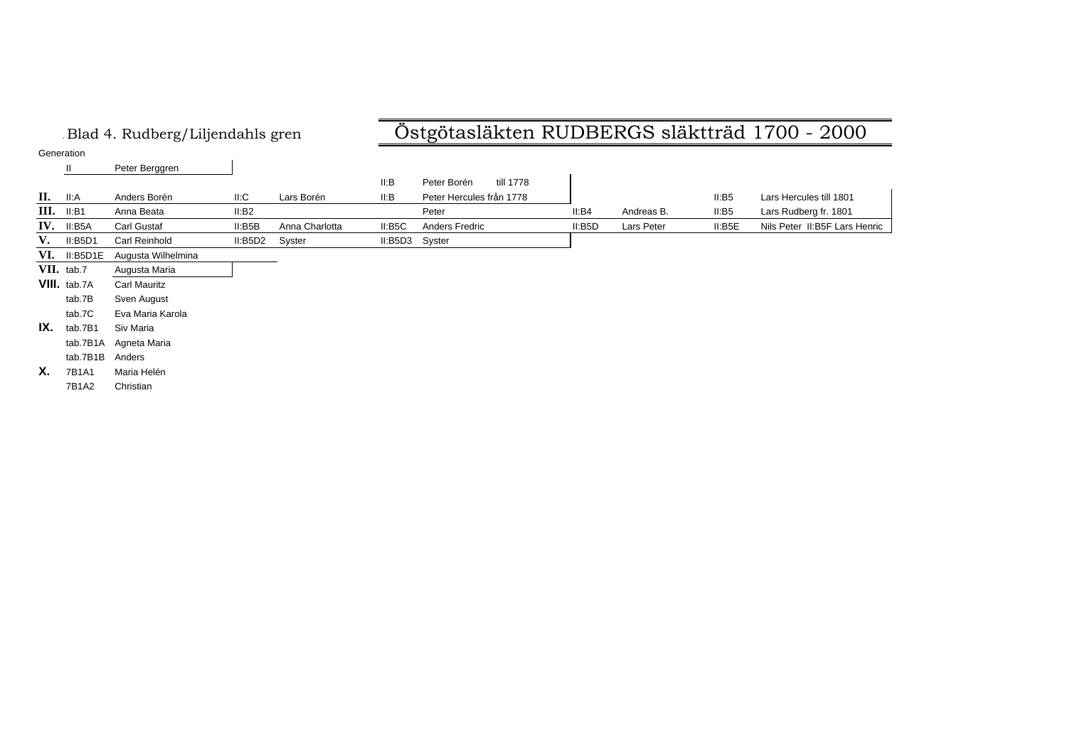### .Blad 4. Rudberg/Liljendahls gren Östgötasläkten RUDBERGS släktträd 1700 - 2000

Generation

|      | ----------   |                     |         |                |         |                          |        |            |         |                               |
|------|--------------|---------------------|---------|----------------|---------|--------------------------|--------|------------|---------|-------------------------------|
|      | $\mathbf{I}$ | Peter Berggren      |         |                |         |                          |        |            |         |                               |
|      |              |                     |         |                | II:B    | till 1778<br>Peter Borén |        |            |         |                               |
| II.  | II: A        | Anders Borén        | II: C   | Lars Borén     | II:B    | Peter Hercules från 1778 |        |            | II:BB   | Lars Hercules till 1801       |
| III. | II:B1        | Anna Beata          | II:B2   |                |         | Peter                    | II:B4  | Andreas B. | II:B5   | Lars Rudberg fr. 1801         |
| IV.  | II:B5A       | Carl Gustaf         | II:BBB  | Anna Charlotta | II: B5C | Anders Fredric           | II:BBD | Lars Peter | II: B5E | Nils Peter II:B5F Lars Henric |
| V.   | II:B5D1      | Carl Reinhold       | II:BBD2 | Syster         | II:BBD3 | Syster                   |        |            |         |                               |
| VI.  | II:B5D1E     | Augusta Wilhelmina  |         |                |         |                          |        |            |         |                               |
|      | VII. tab.7   | Augusta Maria       |         |                |         |                          |        |            |         |                               |
|      | VIII. tab.7A | <b>Carl Mauritz</b> |         |                |         |                          |        |            |         |                               |
|      | tab.7B       | Sven August         |         |                |         |                          |        |            |         |                               |
|      | tab.7C       | Eva Maria Karola    |         |                |         |                          |        |            |         |                               |
| IX.  | tab.7B1      | Siv Maria           |         |                |         |                          |        |            |         |                               |
|      | tab.7B1A     | Agneta Maria        |         |                |         |                          |        |            |         |                               |
|      | tab.7B1B     | Anders              |         |                |         |                          |        |            |         |                               |
| Х.   | 7B1A1        | Maria Helén         |         |                |         |                          |        |            |         |                               |
|      | 7B1A2        | Christian           |         |                |         |                          |        |            |         |                               |